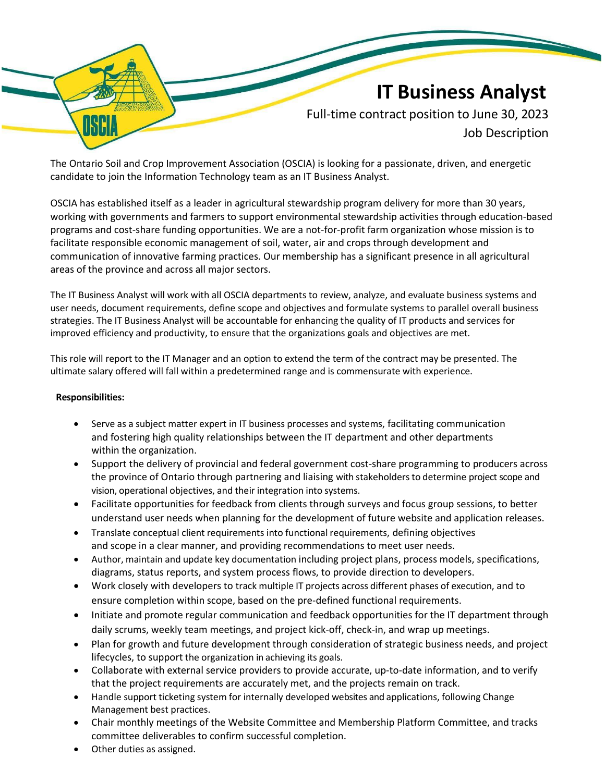## IT Business Analyst

Full-time contract position to June 30, 2023 Job Description

The Ontario Soil and Crop Improvement Association (OSCIA) is looking for a passionate, driven, and energetic candidate to join the Information Technology team as an IT Business Analyst.

OSCIA has established itself as a leader in agricultural stewardship program delivery for more than 30 years, working with governments and farmers to support environmental stewardship activities through education-based programs and cost-share funding opportunities. We are a not-for-profit farm organization whose mission is to facilitate responsible economic management of soil, water, air and crops through development and communication of innovative farming practices. Our membership has a significant presence in all agricultural areas of the province and across all major sectors.

The IT Business Analyst will work with all OSCIA departments to review, analyze, and evaluate business systems and user needs, document requirements, define scope and objectives and formulate systems to parallel overall business strategies. The IT Business Analyst will be accountable for enhancing the quality of IT products and services for improved efficiency and productivity, to ensure that the organizations goals and objectives are met.

This role will report to the IT Manager and an option to extend the term of the contract may be presented. The ultimate salary offered will fall within a predetermined range and is commensurate with experience.

## Responsibilities:

- Serve as a subject matter expert in IT business processes and systems, facilitating communication and fostering high quality relationships between the IT department and other departments within the organization.
- Support the delivery of provincial and federal government cost-share programming to producers across the province of Ontario through partnering and liaising with stakeholders to determine project scope and vision, operational objectives, and their integration into systems.
- Facilitate opportunities for feedback from clients through surveys and focus group sessions, to better understand user needs when planning for the development of future website and application releases.
- Translate conceptual client requirements into functional requirements, defining objectives and scope in a clear manner, and providing recommendations to meet user needs.
- Author, maintain and update key documentation including project plans, process models, specifications, diagrams, status reports, and system process flows, to provide direction to developers.
- Work closely with developers to track multiple IT projects across different phases of execution, and to ensure completion within scope, based on the pre-defined functional requirements.
- Initiate and promote regular communication and feedback opportunities for the IT department through daily scrums, weekly team meetings, and project kick-off, check-in, and wrap up meetings.
- Plan for growth and future development through consideration of strategic business needs, and project lifecycles, to support the organization in achieving its goals.
- Collaborate with external service providers to provide accurate, up-to-date information, and to verify that the project requirements are accurately met, and the projects remain on track.
- Handle support ticketing system for internally developed websites and applications, following Change Management best practices.
- Chair monthly meetings of the Website Committee and Membership Platform Committee, and tracks committee deliverables to confirm successful completion.
- Other duties as assigned.